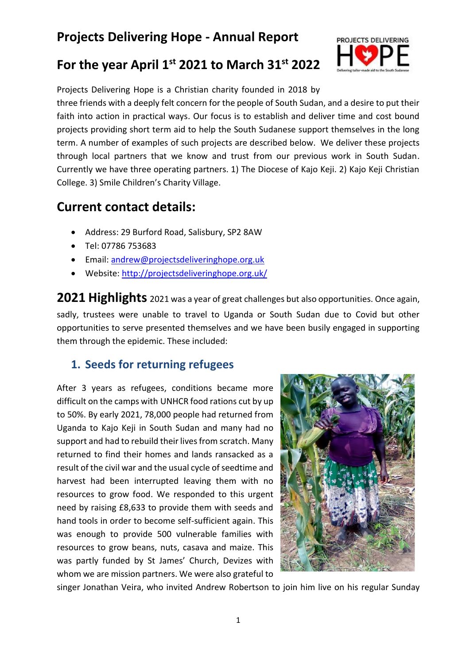# **Projects Delivering Hope - Annual Report**

## **For the year April 1st 2021 to March 31st 2022**



Projects Delivering Hope is a Christian charity founded in 2018 by three friends with a deeply felt concern for the people of South Sudan, and a desire to put their faith into action in practical ways. Our focus is to establish and deliver time and cost bound projects providing short term aid to help the South Sudanese support themselves in the long term. A number of examples of such projects are described below. We deliver these projects through local partners that we know and trust from our previous work in South Sudan. Currently we have three operating partners. 1) The Diocese of Kajo Keji. 2) Kajo Keji Christian College. 3) Smile Children's Charity Village.

## **Current contact details:**

- Address: 29 Burford Road, Salisbury, SP2 8AW
- Tel: 07786 753683
- Email: [andrew@projectsdeliveringhope.org.uk](mailto:andrew@projectsdeliveringhope.org.uk)
- Website:<http://projectsdeliveringhope.org.uk/>

**2021 Highlights** <sup>2021</sup> was a year of great challenges but also opportunities. Once again, sadly, trustees were unable to travel to Uganda or South Sudan due to Covid but other opportunities to serve presented themselves and we have been busily engaged in supporting them through the epidemic. These included:

### **1. Seeds for returning refugees**

After 3 years as refugees, conditions became more difficult on the camps with UNHCR food rations cut by up to 50%. By early 2021, 78,000 people had returned from Uganda to Kajo Keji in South Sudan and many had no support and had to rebuild their lives from scratch. Many returned to find their homes and lands ransacked as a result of the civil war and the usual cycle of seedtime and harvest had been interrupted leaving them with no resources to grow food. We responded to this urgent need by raising £8,633 to provide them with seeds and hand tools in order to become self-sufficient again. This was enough to provide 500 vulnerable families with resources to grow beans, nuts, casava and maize. This was partly funded by St James' Church, Devizes with whom we are mission partners. We were also grateful to



singer Jonathan Veira, who invited Andrew Robertson to join him live on his regular Sunday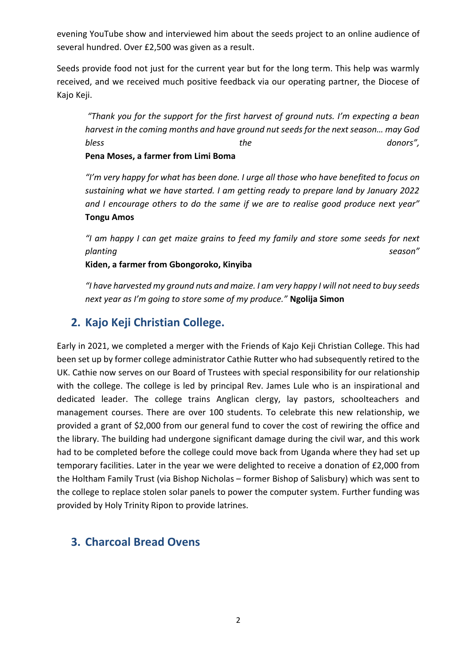evening YouTube show and interviewed him about the seeds project to an online audience of several hundred. Over £2,500 was given as a result.

Seeds provide food not just for the current year but for the long term. This help was warmly received, and we received much positive feedback via our operating partner, the Diocese of Kajo Keji.

*"Thank you for the support for the first harvest of ground nuts. I'm expecting a bean harvest in the coming months and have ground nut seeds for the next season… may God bless the donors",* **Pena Moses, a farmer from Limi Boma**

*"I'm very happy for what has been done. I urge all those who have benefited to focus on sustaining what we have started. I am getting ready to prepare land by January 2022 and I encourage others to do the same if we are to realise good produce next year"* **Tongu Amos**

*"I am happy I can get maize grains to feed my family and store some seeds for next planting season"*

**Kiden, a farmer from Gbongoroko, Kinyiba**

*"I have harvested my ground nuts and maize. I am very happy I will not need to buy seeds next year as I'm going to store some of my produce."* **Ngolija Simon**

### **2. Kajo Keji Christian College.**

Early in 2021, we completed a merger with the Friends of Kajo Keji Christian College. This had been set up by former college administrator Cathie Rutter who had subsequently retired to the UK. Cathie now serves on our Board of Trustees with special responsibility for our relationship with the college. The college is led by principal Rev. James Lule who is an inspirational and dedicated leader. The college trains Anglican clergy, lay pastors, schoolteachers and management courses. There are over 100 students. To celebrate this new relationship, we provided a grant of \$2,000 from our general fund to cover the cost of rewiring the office and the library. The building had undergone significant damage during the civil war, and this work had to be completed before the college could move back from Uganda where they had set up temporary facilities. Later in the year we were delighted to receive a donation of £2,000 from the Holtham Family Trust (via Bishop Nicholas – former Bishop of Salisbury) which was sent to the college to replace stolen solar panels to power the computer system. Further funding was provided by Holy Trinity Ripon to provide latrines.

### **3. Charcoal Bread Ovens**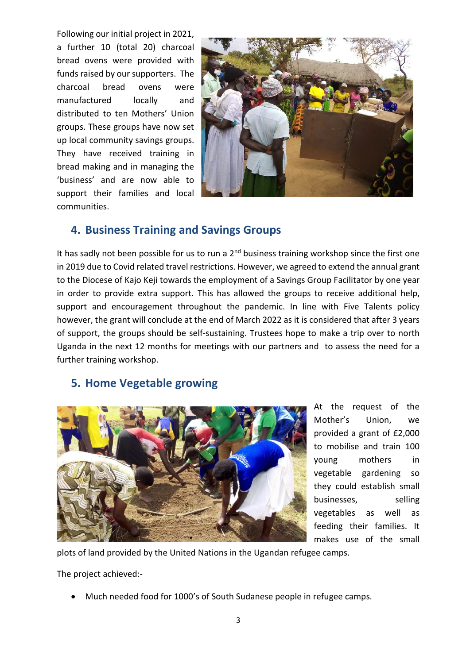Following our initial project in 2021, a further 10 (total 20) charcoal bread ovens were provided with funds raised by our supporters. The charcoal bread ovens were manufactured locally and distributed to ten Mothers' Union groups. These groups have now set up local community savings groups. They have received training in bread making and in managing the 'business' and are now able to support their families and local communities.



### **4. Business Training and Savings Groups**

It has sadly not been possible for us to run a  $2<sup>nd</sup>$  business training workshop since the first one in 2019 due to Covid related travel restrictions. However, we agreed to extend the annual grant to the Diocese of Kajo Keji towards the employment of a Savings Group Facilitator by one year in order to provide extra support. This has allowed the groups to receive additional help, support and encouragement throughout the pandemic. In line with Five Talents policy however, the grant will conclude at the end of March 2022 as it is considered that after 3 years of support, the groups should be self-sustaining. Trustees hope to make a trip over to north Uganda in the next 12 months for meetings with our partners and to assess the need for a further training workshop.

### **5. Home Vegetable growing**



At the request of the Mother's Union, we provided a grant of £2,000 to mobilise and train 100 young mothers in vegetable gardening so they could establish small businesses, selling vegetables as well as feeding their families. It makes use of the small

plots of land provided by the United Nations in the Ugandan refugee camps.

The project achieved:-

• Much needed food for 1000's of South Sudanese people in refugee camps.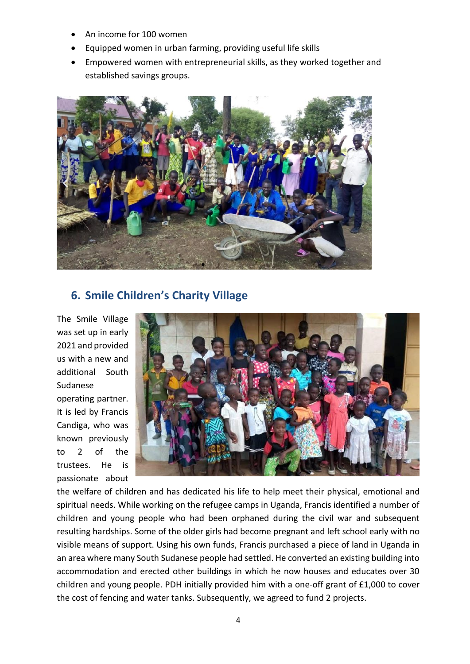- An income for 100 women
- Equipped women in urban farming, providing useful life skills
- Empowered women with entrepreneurial skills, as they worked together and established savings groups.



### **6. Smile Children's Charity Village**

The Smile Village was set up in early 2021 and provided us with a new and additional South Sudanese

operating partner. It is led by Francis Candiga, who was known previously to 2 of the trustees. He is passionate about



the welfare of children and has dedicated his life to help meet their physical, emotional and spiritual needs. While working on the refugee camps in Uganda, Francis identified a number of children and young people who had been orphaned during the civil war and subsequent resulting hardships. Some of the older girls had become pregnant and left school early with no visible means of support. Using his own funds, Francis purchased a piece of land in Uganda in an area where many South Sudanese people had settled. He converted an existing building into accommodation and erected other buildings in which he now houses and educates over 30 children and young people. PDH initially provided him with a one-off grant of £1,000 to cover the cost of fencing and water tanks. Subsequently, we agreed to fund 2 projects.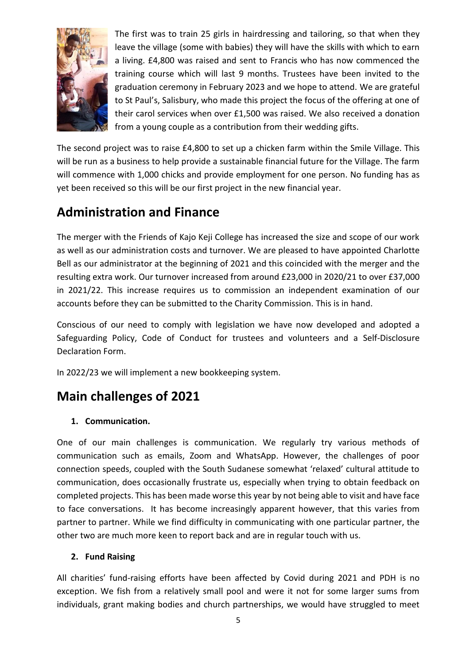

The first was to train 25 girls in hairdressing and tailoring, so that when they leave the village (some with babies) they will have the skills with which to earn a living. £4,800 was raised and sent to Francis who has now commenced the training course which will last 9 months. Trustees have been invited to the graduation ceremony in February 2023 and we hope to attend. We are grateful to St Paul's, Salisbury, who made this project the focus of the offering at one of their carol services when over £1,500 was raised. We also received a donation from a young couple as a contribution from their wedding gifts.

The second project was to raise £4,800 to set up a chicken farm within the Smile Village. This will be run as a business to help provide a sustainable financial future for the Village. The farm will commence with 1,000 chicks and provide employment for one person. No funding has as yet been received so this will be our first project in the new financial year.

# **Administration and Finance**

The merger with the Friends of Kajo Keji College has increased the size and scope of our work as well as our administration costs and turnover. We are pleased to have appointed Charlotte Bell as our administrator at the beginning of 2021 and this coincided with the merger and the resulting extra work. Our turnover increased from around £23,000 in 2020/21 to over £37,000 in 2021/22. This increase requires us to commission an independent examination of our accounts before they can be submitted to the Charity Commission. This is in hand.

Conscious of our need to comply with legislation we have now developed and adopted a Safeguarding Policy, Code of Conduct for trustees and volunteers and a Self-Disclosure Declaration Form.

In 2022/23 we will implement a new bookkeeping system.

# **Main challenges of 2021**

#### **1. Communication.**

One of our main challenges is communication. We regularly try various methods of communication such as emails, Zoom and WhatsApp. However, the challenges of poor connection speeds, coupled with the South Sudanese somewhat 'relaxed' cultural attitude to communication, does occasionally frustrate us, especially when trying to obtain feedback on completed projects. This has been made worse this year by not being able to visit and have face to face conversations. It has become increasingly apparent however, that this varies from partner to partner. While we find difficulty in communicating with one particular partner, the other two are much more keen to report back and are in regular touch with us.

#### **2. Fund Raising**

All charities' fund-raising efforts have been affected by Covid during 2021 and PDH is no exception. We fish from a relatively small pool and were it not for some larger sums from individuals, grant making bodies and church partnerships, we would have struggled to meet